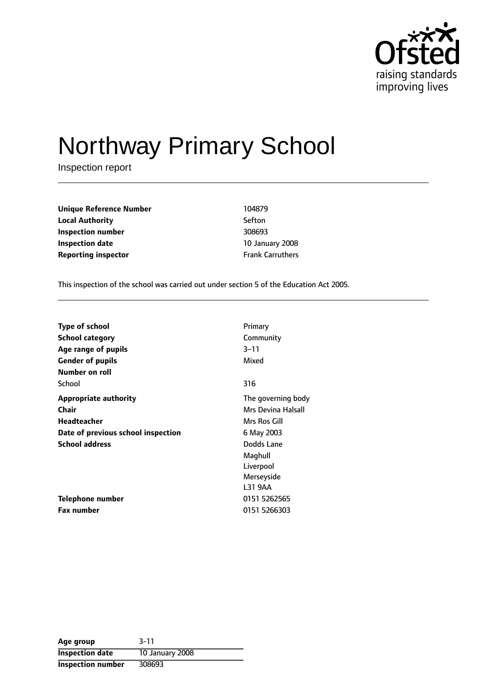

# Northway Primary School

Inspection report

| <b>Unique Reference Number</b> | 104879                  |
|--------------------------------|-------------------------|
| <b>Local Authority</b>         | Sefton                  |
| Inspection number              | 308693                  |
| Inspection date                | 10 January 2008         |
| <b>Reporting inspector</b>     | <b>Frank Carruthers</b> |

This inspection of the school was carried out under section 5 of the Education Act 2005.

| <b>Type of school</b>              | Primary            |
|------------------------------------|--------------------|
| <b>School category</b>             | Community          |
| Age range of pupils                | 3–11               |
| <b>Gender of pupils</b>            | Mixed              |
| Number on roll                     |                    |
| School                             | 316                |
| <b>Appropriate authority</b>       | The governing body |
| <b>Chair</b>                       | Mrs Devina Halsall |
| Headteacher                        | Mrs Ros Gill       |
| Date of previous school inspection | 6 May 2003         |
| <b>School address</b>              | Dodds Lane         |
|                                    | Maghull            |
|                                    | Liverpool          |
|                                    | Merseyside         |
|                                    | L31 9AA            |
| Telephone number                   | 0151 5262565       |
| Fax number                         | 0151 5266303       |

| Age group                | $3 - 11$        |
|--------------------------|-----------------|
| <b>Inspection date</b>   | 10 January 2008 |
| <b>Inspection number</b> | 308693          |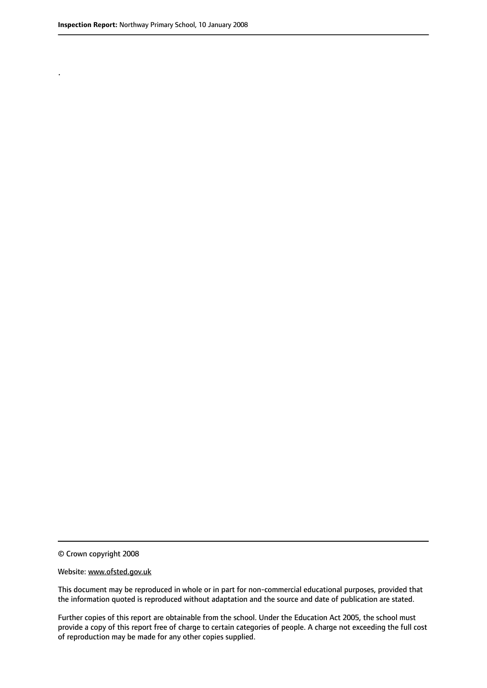.

© Crown copyright 2008

#### Website: www.ofsted.gov.uk

This document may be reproduced in whole or in part for non-commercial educational purposes, provided that the information quoted is reproduced without adaptation and the source and date of publication are stated.

Further copies of this report are obtainable from the school. Under the Education Act 2005, the school must provide a copy of this report free of charge to certain categories of people. A charge not exceeding the full cost of reproduction may be made for any other copies supplied.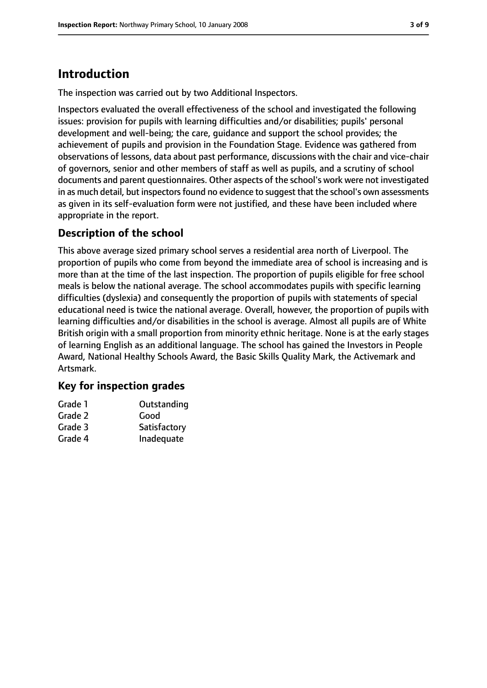## **Introduction**

The inspection was carried out by two Additional Inspectors.

Inspectors evaluated the overall effectiveness of the school and investigated the following issues: provision for pupils with learning difficulties and/or disabilities; pupils' personal development and well-being; the care, guidance and support the school provides; the achievement of pupils and provision in the Foundation Stage. Evidence was gathered from observations of lessons, data about past performance, discussions with the chair and vice-chair of governors, senior and other members of staff as well as pupils, and a scrutiny of school documents and parent questionnaires. Other aspects of the school's work were not investigated in as much detail, but inspectors found no evidence to suggest that the school's own assessments as given in its self-evaluation form were not justified, and these have been included where appropriate in the report.

### **Description of the school**

This above average sized primary school serves a residential area north of Liverpool. The proportion of pupils who come from beyond the immediate area of school is increasing and is more than at the time of the last inspection. The proportion of pupils eligible for free school meals is below the national average. The school accommodates pupils with specific learning difficulties (dyslexia) and consequently the proportion of pupils with statements of special educational need is twice the national average. Overall, however, the proportion of pupils with learning difficulties and/or disabilities in the school is average. Almost all pupils are of White British origin with a small proportion from minority ethnic heritage. None is at the early stages of learning English as an additional language. The school has gained the Investors in People Award, National Healthy Schools Award, the Basic Skills Quality Mark, the Activemark and Artsmark.

#### **Key for inspection grades**

| Grade 1 | Outstanding  |
|---------|--------------|
| Grade 2 | Good         |
| Grade 3 | Satisfactory |

Grade 4 Inadequate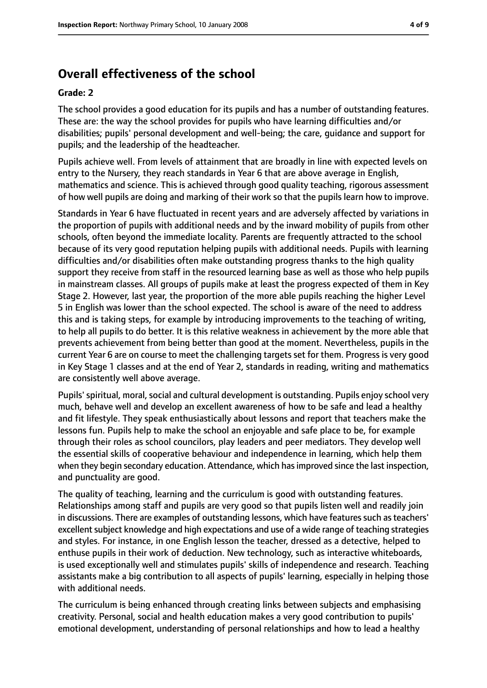## **Overall effectiveness of the school**

#### **Grade: 2**

The school provides a good education for its pupils and has a number of outstanding features. These are: the way the school provides for pupils who have learning difficulties and/or disabilities; pupils' personal development and well-being; the care, guidance and support for pupils; and the leadership of the headteacher.

Pupils achieve well. From levels of attainment that are broadly in line with expected levels on entry to the Nursery, they reach standards in Year 6 that are above average in English, mathematics and science. This is achieved through good quality teaching, rigorous assessment of how well pupils are doing and marking of their work so that the pupils learn how to improve.

Standards in Year 6 have fluctuated in recent years and are adversely affected by variations in the proportion of pupils with additional needs and by the inward mobility of pupils from other schools, often beyond the immediate locality. Parents are frequently attracted to the school because of its very good reputation helping pupils with additional needs. Pupils with learning difficulties and/or disabilities often make outstanding progress thanks to the high quality support they receive from staff in the resourced learning base as well as those who help pupils in mainstream classes. All groups of pupils make at least the progress expected of them in Key Stage 2. However, last year, the proportion of the more able pupils reaching the higher Level 5 in English was lower than the school expected. The school is aware of the need to address this and is taking steps, for example by introducing improvements to the teaching of writing, to help all pupils to do better. It is this relative weakness in achievement by the more able that prevents achievement from being better than good at the moment. Nevertheless, pupils in the current Year 6 are on course to meet the challenging targets set for them. Progress is very good in Key Stage 1 classes and at the end of Year 2, standards in reading, writing and mathematics are consistently well above average.

Pupils' spiritual, moral, social and cultural development is outstanding. Pupils enjoy school very much, behave well and develop an excellent awareness of how to be safe and lead a healthy and fit lifestyle. They speak enthusiastically about lessons and report that teachers make the lessons fun. Pupils help to make the school an enjoyable and safe place to be, for example through their roles as school councilors, play leaders and peer mediators. They develop well the essential skills of cooperative behaviour and independence in learning, which help them when they begin secondary education. Attendance, which has improved since the last inspection, and punctuality are good.

The quality of teaching, learning and the curriculum is good with outstanding features. Relationships among staff and pupils are very good so that pupils listen well and readily join in discussions. There are examples of outstanding lessons, which have features such as teachers' excellent subject knowledge and high expectations and use of a wide range of teaching strategies and styles. For instance, in one English lesson the teacher, dressed as a detective, helped to enthuse pupils in their work of deduction. New technology, such as interactive whiteboards, is used exceptionally well and stimulates pupils' skills of independence and research. Teaching assistants make a big contribution to all aspects of pupils' learning, especially in helping those with additional needs.

The curriculum is being enhanced through creating links between subjects and emphasising creativity. Personal, social and health education makes a very good contribution to pupils' emotional development, understanding of personal relationships and how to lead a healthy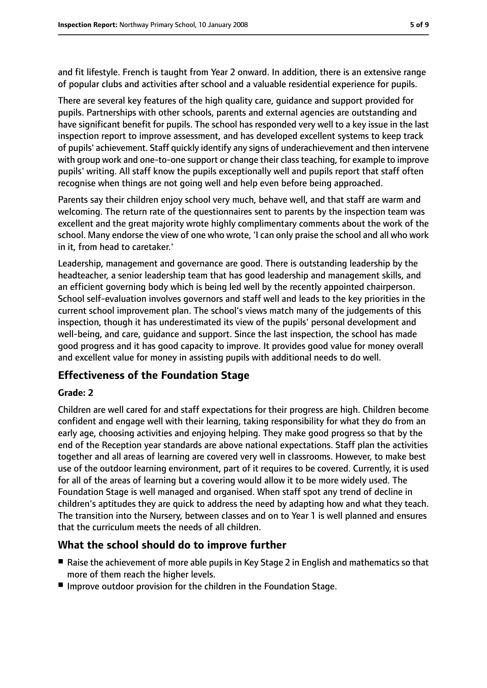and fit lifestyle. French is taught from Year 2 onward. In addition, there is an extensive range of popular clubs and activities after school and a valuable residential experience for pupils.

There are several key features of the high quality care, guidance and support provided for pupils. Partnerships with other schools, parents and external agencies are outstanding and have significant benefit for pupils. The school has responded very well to a key issue in the last inspection report to improve assessment, and has developed excellent systems to keep track of pupils' achievement. Staff quickly identify any signs of underachievement and then intervene with group work and one-to-one support or change their class teaching, for example to improve pupils' writing. All staff know the pupils exceptionally well and pupils report that staff often recognise when things are not going well and help even before being approached.

Parents say their children enjoy school very much, behave well, and that staff are warm and welcoming. The return rate of the questionnaires sent to parents by the inspection team was excellent and the great majority wrote highly complimentary comments about the work of the school. Many endorse the view of one who wrote, 'I can only praise the school and all who work in it, from head to caretaker.'

Leadership, management and governance are good. There is outstanding leadership by the headteacher, a senior leadership team that has good leadership and management skills, and an efficient governing body which is being led well by the recently appointed chairperson. School self-evaluation involves governors and staff well and leads to the key priorities in the current school improvement plan. The school's views match many of the judgements of this inspection, though it has underestimated its view of the pupils' personal development and well-being, and care, guidance and support. Since the last inspection, the school has made good progress and it has good capacity to improve. It provides good value for money overall and excellent value for money in assisting pupils with additional needs to do well.

#### **Effectiveness of the Foundation Stage**

#### **Grade: 2**

Children are well cared for and staff expectations for their progress are high. Children become confident and engage well with their learning, taking responsibility for what they do from an early age, choosing activities and enjoying helping. They make good progress so that by the end of the Reception year standards are above national expectations. Staff plan the activities together and all areas of learning are covered very well in classrooms. However, to make best use of the outdoor learning environment, part of it requires to be covered. Currently, it is used for all of the areas of learning but a covering would allow it to be more widely used. The Foundation Stage is well managed and organised. When staff spot any trend of decline in children's aptitudes they are quick to address the need by adapting how and what they teach. The transition into the Nursery, between classes and on to Year 1 is well planned and ensures that the curriculum meets the needs of all children.

#### **What the school should do to improve further**

- Raise the achievement of more able pupils in Key Stage 2 in English and mathematics so that more of them reach the higher levels.
- Improve outdoor provision for the children in the Foundation Stage.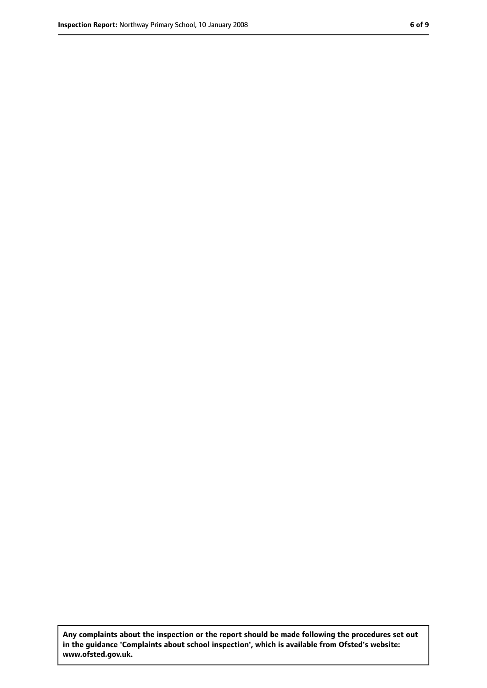**Any complaints about the inspection or the report should be made following the procedures set out in the guidance 'Complaints about school inspection', which is available from Ofsted's website: www.ofsted.gov.uk.**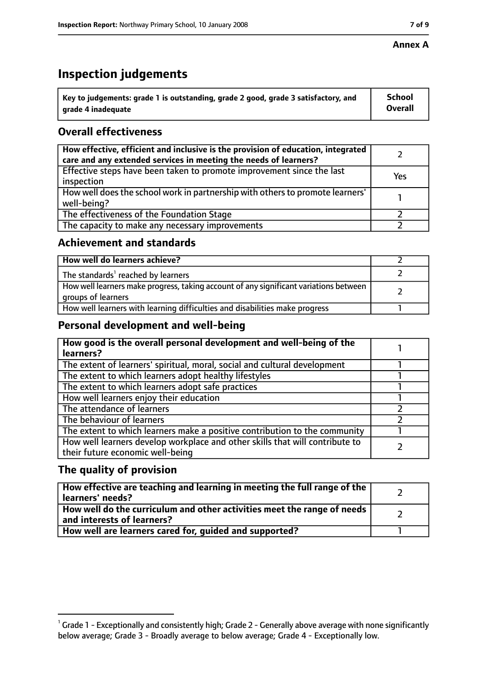#### **Annex A**

## **Inspection judgements**

| $^{\backprime}$ Key to judgements: grade 1 is outstanding, grade 2 good, grade 3 satisfactory, and | <b>School</b>  |
|----------------------------------------------------------------------------------------------------|----------------|
| arade 4 inadequate                                                                                 | <b>Overall</b> |

### **Overall effectiveness**

| How effective, efficient and inclusive is the provision of education, integrated<br>care and any extended services in meeting the needs of learners? |     |
|------------------------------------------------------------------------------------------------------------------------------------------------------|-----|
| Effective steps have been taken to promote improvement since the last<br>inspection                                                                  | Yes |
| How well does the school work in partnership with others to promote learners'<br>well-being?                                                         |     |
| The effectiveness of the Foundation Stage                                                                                                            |     |
| The capacity to make any necessary improvements                                                                                                      |     |

#### **Achievement and standards**

| How well do learners achieve?                                                                               |  |
|-------------------------------------------------------------------------------------------------------------|--|
| $\mathsf I$ The standards <sup>1</sup> reached by learners                                                  |  |
| How well learners make progress, taking account of any significant variations between<br>groups of learners |  |
| How well learners with learning difficulties and disabilities make progress                                 |  |

#### **Personal development and well-being**

| How good is the overall personal development and well-being of the<br>learners?                                  |  |
|------------------------------------------------------------------------------------------------------------------|--|
| The extent of learners' spiritual, moral, social and cultural development                                        |  |
| The extent to which learners adopt healthy lifestyles                                                            |  |
| The extent to which learners adopt safe practices                                                                |  |
| How well learners enjoy their education                                                                          |  |
| The attendance of learners                                                                                       |  |
| The behaviour of learners                                                                                        |  |
| The extent to which learners make a positive contribution to the community                                       |  |
| How well learners develop workplace and other skills that will contribute to<br>their future economic well-being |  |

#### **The quality of provision**

| How effective are teaching and learning in meeting the full range of the<br>learners' needs?          |  |
|-------------------------------------------------------------------------------------------------------|--|
| How well do the curriculum and other activities meet the range of needs<br>and interests of learners? |  |
| How well are learners cared for, quided and supported?                                                |  |

 $^1$  Grade 1 - Exceptionally and consistently high; Grade 2 - Generally above average with none significantly below average; Grade 3 - Broadly average to below average; Grade 4 - Exceptionally low.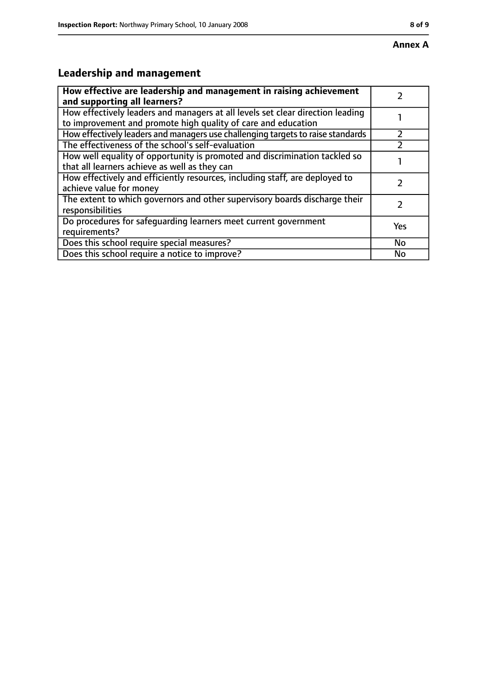## **Leadership and management**

| How effective are leadership and management in raising achievement<br>and supporting all learners?                                              |           |
|-------------------------------------------------------------------------------------------------------------------------------------------------|-----------|
| How effectively leaders and managers at all levels set clear direction leading<br>to improvement and promote high quality of care and education |           |
| How effectively leaders and managers use challenging targets to raise standards                                                                 |           |
| The effectiveness of the school's self-evaluation                                                                                               |           |
| How well equality of opportunity is promoted and discrimination tackled so<br>that all learners achieve as well as they can                     |           |
| How effectively and efficiently resources, including staff, are deployed to<br>achieve value for money                                          |           |
| The extent to which governors and other supervisory boards discharge their<br>responsibilities                                                  |           |
| Do procedures for safequarding learners meet current government<br>requirements?                                                                | Yes       |
| Does this school require special measures?                                                                                                      | <b>No</b> |
| Does this school require a notice to improve?                                                                                                   | No        |